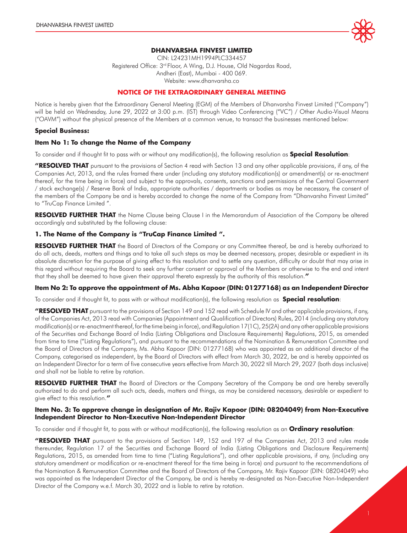

#### **DHANVARSHA FINVEST LIMITED**

CIN: L24231MH1994PLC334457 Registered Office: 3rd Floor, A Wing, D.J. House, Old Nagardas Road, Andheri (East), Mumbai - 400 069. Website: www.dhanvarsha.co

#### **NOTICE OF THE EXTRAORDINARY GENERAL MEETING**

Notice is hereby given that the Extraordinary General Meeting (EGM) of the Members of Dhanvarsha Finvest Limited ("Company") will be held on Wednesday, June 29, 2022 at 3:00 p.m. (IST) through Video Conferencing ("VC") / Other Audio-Visual Means ("OAVM") without the physical presence of the Members at a common venue, to transact the businesses mentioned below:

#### **Special Business:**

#### **Item No 1: To change the Name of the Company**

To consider and if thought fit to pass with or without any modification(s), the following resolution as **Special Resolution**:

**"RESOLVED THAT** pursuant to the provisions of Section 4 read with Section 13 and any other applicable provisions, if any, of the Companies Act, 2013, and the rules framed there under (including any statutory modification(s) or amendment(s) or re-enactment thereof, for the time being in force) and subject to the approvals, consents, sanctions and permissions of the Central Government / stock exchange(s) / Reserve Bank of India, appropriate authorities / departments or bodies as may be necessary, the consent of the members of the Company be and is hereby accorded to change the name of the Company from "Dhanvarsha Finvest Limited" to "TruCap Finance Limited ".

**RESOLVED FURTHER THAT** the Name Clause being Clause I in the Memorandum of Association of the Company be altered accordingly and substituted by the following clause:

#### **1. The Name of the Company is "TruCap Finance Limited ".**

**RESOLVED FURTHER THAT** the Board of Directors of the Company or any Committee thereof, be and is hereby authorized to do all acts, deeds, matters and things and to take all such steps as may be deemed necessary, proper, desirable or expedient in its absolute discretion for the purpose of giving effect to this resolution and to settle any question, difficulty or doubt that may arise in this regard without requiring the Board to seek any further consent or approval of the Members or otherwise to the end and intent that they shall be deemed to have given their approval thereto expressly by the authority of this resolution.**"**

#### **Item No 2: To approve the appointment of Ms. Abha Kapoor (DIN: 01277168) as an Independent Director**

To consider and if thought fit, to pass with or without modification(s), the following resolution as **Special resolution**:

**"RESOLVED THAT** pursuant to the provisions of Section 149 and 152 read with Schedule IV and other applicable provisions, if any, of the Companies Act, 2013 read with Companies (Appointment and Qualification of Directors) Rules, 2014 (including any statutory modification(s) or re-enactment thereof, for the time being in force), and Regulation 17(1C), 25(2A) and any other applicable provisions of the Securities and Exchange Board of India (Listing Obligations and Disclosure Requirements) Regulations, 2015, as amended from time to time ("Listing Regulations"), and pursuant to the recommendations of the Nomination & Remuneration Committee and the Board of Directors of the Company, Ms. Abha Kapoor (DIN: 01277168) who was appointed as an additional director of the Company, categorised as independent, by the Board of Directors with effect from March 30, 2022, be and is hereby appointed as an Independent Director for a term of five consecutive years effective from March 30, 2022 till March 29, 2027 (both days inclusive) and shall not be liable to retire by rotation.

**RESOLVED FURTHER THAT** the Board of Directors or the Company Secretary of the Company be and are hereby severally authorized to do and perform all such acts, deeds, matters and things, as may be considered necessary, desirable or expedient to give effect to this resolution.**"**

#### **Item No. 3: To approve change in designation of Mr. Rajiv Kapoor (DIN: 08204049) from Non-Executive Independent Director to Non-Executive Non-Independent Director**

To consider and if thought fit, to pass with or without modification(s), the following resolution as an **Ordinary resolution**:

**"RESOLVED THAT** pursuant to the provisions of Section 149, 152 and 197 of the Companies Act, 2013 and rules made thereunder, Regulation 17 of the Securities and Exchange Board of India (Listing Obligations and Disclosure Requirements) Regulations, 2015, as amended from time to time ("Listing Regulations"), and other applicable provisions, if any, (including any statutory amendment or modification or re-enactment thereof for the time being in force) and pursuant to the recommendations of the Nomination & Remuneration Committee and the Board of Directors of the Company, Mr. Rajiv Kapoor (DIN: 08204049) who was appointed as the Independent Director of the Company, be and is hereby re-designated as Non-Executive Non-Independent Director of the Company w.e.f. March 30, 2022 and is liable to retire by rotation.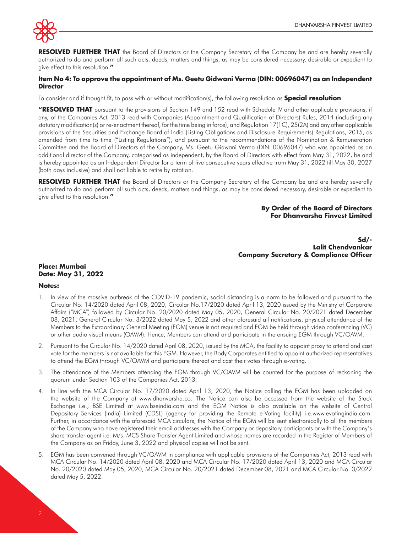

**RESOLVED FURTHER THAT** the Board of Directors or the Company Secretary of the Company be and are hereby severally authorized to do and perform all such acts, deeds, matters and things, as may be considered necessary, desirable or expedient to give effect to this resolution.**"**

#### **Item No 4: To approve the appointment of Ms. Geetu Gidwani Verma (DIN: 00696047) as an Independent Director**

To consider and if thought fit, to pass with or without modification(s), the following resolution as **Special resolution**:

**"RESOLVED THAT** pursuant to the provisions of Section 149 and 152 read with Schedule IV and other applicable provisions, if any, of the Companies Act, 2013 read with Companies (Appointment and Qualification of Directors) Rules, 2014 (including any statutory modification(s) or re-enactment thereof, for the time being in force), and Regulation 17(1C), 25(2A) and any other applicable provisions of the Securities and Exchange Board of India (Listing Obligations and Disclosure Requirements) Regulations, 2015, as amended from time to time ("Listing Regulations"), and pursuant to the recommendations of the Nomination & Remuneration Committee and the Board of Directors of the Company, Ms. Geetu Gidwani Verma (DIN: 00696047) who was appointed as an additional director of the Company, categorised as independent, by the Board of Directors with effect from May 31, 2022, be and is hereby appointed as an Independent Director for a term of five consecutive years effective from May 31, 2022 till May 30, 2027 (both days inclusive) and shall not liable to retire by rotation.

**RESOLVED FURTHER THAT** the Board of Directors or the Company Secretary of the Company be and are hereby severally authorized to do and perform all such acts, deeds, matters and things, as may be considered necessary, desirable or expedient to give effect to this resolution.**"**

#### **By Order of the Board of Directors For Dhanvarsha Finvest Limited**

**Sd/- Lalit Chendvankar Company Secretary & Compliance Officer**

# **Place: Mumbai Date: May 31, 2022**

#### **Notes:**

- 1. In view of the massive outbreak of the COVID-19 pandemic, social distancing is a norm to be followed and pursuant to the Circular No. 14/2020 dated April 08, 2020, Circular No.17/2020 dated April 13, 2020 issued by the Ministry of Corporate Affairs ("MCA") followed by Circular No. 20/2020 dated May 05, 2020, General Circular No. 20/2021 dated December 08, 2021, General Circular No. 3/2022 dated May 5, 2022 and other aforesaid all notifications, physical attendance of the Members to the Extraordinary General Meeting (EGM) venue is not required and EGM be held through video conferencing (VC) or other audio visual means (OAVM). Hence, Members can attend and participate in the ensuing EGM through VC/OAVM.
- 2. Pursuant to the Circular No. 14/2020 dated April 08, 2020, issued by the MCA, the facility to appoint proxy to attend and cast vote for the members is not available for this EGM. However, the Body Corporates entitled to appoint authorized representatives to attend the EGM through VC/OAVM and participate thereat and cast their votes through e-voting.
- 3. The attendance of the Members attending the EGM through VC/OAVM will be counted for the purpose of reckoning the quorum under Section 103 of the Companies Act, 2013.
- 4. In line with the MCA Circular No. 17/2020 dated April 13, 2020, the Notice calling the EGM has been uploaded on the website of the Company at www.dhanvarsha.co. The Notice can also be accessed from the website of the Stock Exchange i.e., BSE Limited at www.bseindia.com and the EGM Notice is also available on the website of Central Depository Services (India) Limited (CDSL) (agency for providing the Remote e-Voting facility) i.e.www.evotingindia.com. Further, in accordance with the aforesaid MCA circulars, the Notice of the EGM will be sent electronically to all the members of the Company who have registered their email addresses with the Company or depository participants or with the Company's share transfer agent i.e. M/s. MCS Share Transfer Agent Limited and whose names are recorded in the Register of Members of the Company as on Friday, June 3, 2022 and physical copies will not be sent.
- 5. EGM has been convened through VC/OAVM in compliance with applicable provisions of the Companies Act, 2013 read with MCA Circular No. 14/2020 dated April 08, 2020 and MCA Circular No. 17/2020 dated April 13, 2020 and MCA Circular No. 20/2020 dated May 05, 2020, MCA Circular No. 20/2021 dated December 08, 2021 and MCA Circular No. 3/2022 dated May 5, 2022.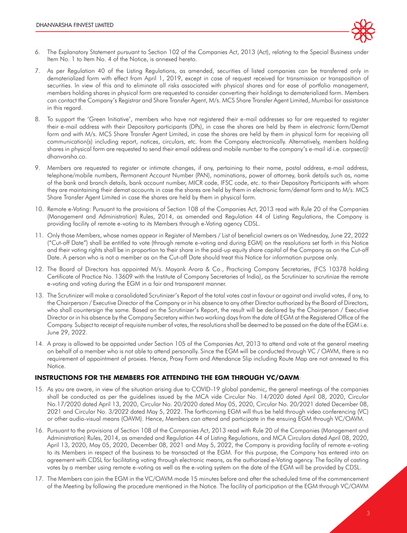

- 6. The Explanatory Statement pursuant to Section 102 of the Companies Act, 2013 (Act), relating to the Special Business under Item No. 1 to Item No. 4 of the Notice, is annexed hereto.
- 7. As per Regulation 40 of the Listing Regulations, as amended, securities of listed companies can be transferred only in dematerialized form with effect from April 1, 2019, except in case of request received for transmission or transposition of securities. In view of this and to eliminate all risks associated with physical shares and for ease of portfolio management, members holding shares in physical form are requested to consider converting their holdings to dematerialized form. Members can contact the Company's Registrar and Share Transfer Agent, M/s. MCS Share Transfer Agent Limited, Mumbai for assistance in this regard.
- 8. To support the 'Green Initiative', members who have not registered their e-mail addresses so far are requested to register their e-mail address with their Depository participants (DPs), in case the shares are held by them in electronic form/Demat form and with M/s. MCS Share Transfer Agent Limited, in case the shares are held by them in physical form for receiving all communication(s) including report, notices, circulars, etc. from the Company electronically. Alternatively, members holding shares in physical form are requested to send their email address and mobile number to the company's e-mail id i.e. corpsec@ dhanvarsha.co.
- 9. Members are requested to register or intimate changes, if any, pertaining to their name, postal address, e-mail address, telephone/mobile numbers, Permanent Account Number (PAN), nominations, power of attorney, bank details such as, name of the bank and branch details, bank account number, MICR code, IFSC code, etc. to their Depository Participants with whom they are maintaining their demat accounts in case the shares are held by them in electronic form/demat form and to M/s. MCS Share Transfer Agent Limited in case the shares are held by them in physical form.
- 10. Remote e-Voting: Pursuant to the provisions of Section 108 of the Companies Act, 2013 read with Rule 20 of the Companies (Management and Administration) Rules, 2014, as amended and Regulation 44 of Listing Regulations, the Company is providing facility of remote e-voting to its Members through e-Voting agency CDSL.
- 11. Only those Members, whose names appear in Register of Members / List of beneficial owners as on Wednesday, June 22, 2022 ("Cut-off Date") shall be entitled to vote (through remote e-voting and during EGM) on the resolutions set forth in this Notice and their voting rights shall be in proportion to their share in the paid-up equity share capital of the Company as on the Cut-off Date. A person who is not a member as on the Cut-off Date should treat this Notice for information purpose only.
- 12. The Board of Directors has appointed M/s. Mayank Arora & Co., Practicing Company Secretaries, (FCS 10378 holding Certificate of Practice No. 13609 with the Institute of Company Secretaries of India), as the Scrutinizer to scrutinize the remote e-voting and voting during the EGM in a fair and transparent manner.
- 13. The Scrutinizer will make a consolidated Scrutinizer's Report of the total votes cast in favour or against and invalid votes, if any, to the Chairperson / Executive Director of the Company or in his absence to any other Director authorized by the Board of Directors, who shall countersign the same. Based on the Scrutinizer's Report, the result will be declared by the Chairperson / Executive Director or in his absence by the Company Secretary within two working days from the date of EGM at the Registered Office of the Company. Subject to receipt of requisite number of votes, the resolutions shall be deemed to be passed on the date of the EGM i.e. June 29, 2022.
- 14. A proxy is allowed to be appointed under Section 105 of the Companies Act, 2013 to attend and vote at the general meeting on behalf of a member who is not able to attend personally. Since the EGM will be conducted through VC / OAVM, there is no requirement of appointment of proxies. Hence, Proxy Form and Attendance Slip including Route Map are not annexed to this Notice.

## **INSTRUCTIONS FOR THE MEMBERS FOR ATTENDING THE EGM THROUGH VC/OAVM**:

- 15. As you are aware, in view of the situation arising due to COVID-19 global pandemic, the general meetings of the companies shall be conducted as per the guidelines issued by the MCA vide Circular No. 14/2020 dated April 08, 2020, Circular No.17/2020 dated April 13, 2020, Circular No. 20/2020 dated May 05, 2020, Circular No. 20/2021 dated December 08, 2021 and Circular No. 3/2022 dated May 5, 2022. The forthcoming EGM will thus be held through video conferencing (VC) or other audio-visual means (OAVM). Hence, Members can attend and participate in the ensuing EGM through VC/OAVM.
- 16. Pursuant to the provisions of Section 108 of the Companies Act, 2013 read with Rule 20 of the Companies (Management and Administration) Rules, 2014, as amended and Regulation 44 of Listing Regulations, and MCA Circulars dated April 08, 2020, April 13, 2020, May 05, 2020, December 08, 2021 and May 5, 2022, the Company is providing facility of remote e-voting to its Members in respect of the business to be transacted at the EGM. For this purpose, the Company has entered into an agreement with CDSL for facilitating voting through electronic means, as the authorized e-Voting agency. The facility of casting votes by a member using remote e-voting as well as the e-voting system on the date of the EGM will be provided by CDSL.
- 17. The Members can join the EGM in the VC/OAVM mode 15 minutes before and after the scheduled time of the commencement of the Meeting by following the procedure mentioned in the Notice. The facility of participation at the EGM through VC/OAVM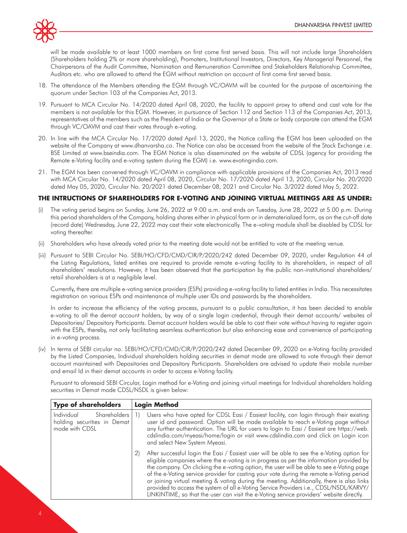

will be made available to at least 1000 members on first come first served basis. This will not include large Shareholders (Shareholders holding 2% or more shareholding), Promoters, Institutional Investors, Directors, Key Managerial Personnel, the Chairpersons of the Audit Committee, Nomination and Remuneration Committee and Stakeholders Relationship Committee, Auditors etc. who are allowed to attend the EGM without restriction on account of first come first served basis.

- 18. The attendance of the Members attending the EGM through VC/OAVM will be counted for the purpose of ascertaining the quorum under Section 103 of the Companies Act, 2013.
- 19. Pursuant to MCA Circular No. 14/2020 dated April 08, 2020, the facility to appoint proxy to attend and cast vote for the members is not available for this EGM. However, in pursuance of Section 112 and Section 113 of the Companies Act, 2013, representatives of the members such as the President of India or the Governor of a State or body corporate can attend the EGM through VC/OAVM and cast their votes through e-voting.
- 20. In line with the MCA Circular No. 17/2020 dated April 13, 2020, the Notice calling the EGM has been uploaded on the website of the Company at www.dhanvarsha.co. The Notice can also be accessed from the website of the Stock Exchange i.e. BSE Limited at www.bseindia.com. The EGM Notice is also disseminated on the website of CDSL (agency for providing the Remote e-Voting facility and e-voting system during the EGM) i.e. www.evotingindia.com.
- 21. The EGM has been convened through VC/OAVM in compliance with applicable provisions of the Companies Act, 2013 read with MCA Circular No. 14/2020 dated April 08, 2020, Circular No. 17/2020 dated April 13, 2020, Circular No. 20/2020 dated May 05, 2020, Circular No. 20/2021 dated December 08, 2021 and Circular No. 3/2022 dated May 5, 2022.

## **THE INTRUCTIONS OF SHAREHOLDERS FOR E-VOTING AND JOINING VIRTUAL MEETINGS ARE AS UNDER:**

- (i) The voting period begins on Sunday, June 26, 2022 at 9.00 a.m. and ends on Tuesday, June 28, 2022 at 5.00 p.m. During this period shareholders of the Company, holding shares either in physical form or in dematerialized form, as on the cut-off date (record date) Wednesday, June 22, 2022 may cast their vote electronically. The e-voting module shall be disabled by CDSL for voting thereafter.
- (ii) Shareholders who have already voted prior to the meeting date would not be entitled to vote at the meeting venue.
- (iii) Pursuant to SEBI Circular No. SEBI/HO/CFD/CMD/CIR/P/2020/242 dated December 09, 2020, under Regulation 44 of the Listing Regulations, listed entities are required to provide remote e-voting facility to its shareholders, in respect of all shareholders' resolutions. However, it has been observed that the participation by the public non-institutional shareholders/ retail shareholders is at a negligible level.

Currently, there are multiple e-voting service providers (ESPs) providing e-voting facility to listed entities in India. This necessitates registration on various ESPs and maintenance of multiple user IDs and passwords by the shareholders.

In order to increase the efficiency of the voting process, pursuant to a public consultation, it has been decided to enable e-voting to all the demat account holders, by way of a single login credential, through their demat accounts/ websites of Depositories/ Depository Participants. Demat account holders would be able to cast their vote without having to register again with the ESPs, thereby, not only facilitating seamless authentication but also enhancing ease and convenience of participating in e-voting process.

(iv) In terms of SEBI circular no. SEBI/HO/CFD/CMD/CIR/P/2020/242 dated December 09, 2020 on e-Voting facility provided by the Listed Companies, Individual shareholders holding securities in demat mode are allowed to vote through their demat account maintained with Depositories and Depository Participants. Shareholders are advised to update their mobile number and email Id in their demat accounts in order to access e-Voting facility.

Pursuant to aforesaid SEBI Circular, Login method for e-Voting and joining virtual meetings for Individual shareholders holding securities in Demat mode CDSL/NSDL is given below:

| <b>Type of shareholders</b>                                                 | <b>Login Method</b>                                                                                                                                                                                                                                                                                                                                                                                                                                                                                                                                                                                                                                                    |
|-----------------------------------------------------------------------------|------------------------------------------------------------------------------------------------------------------------------------------------------------------------------------------------------------------------------------------------------------------------------------------------------------------------------------------------------------------------------------------------------------------------------------------------------------------------------------------------------------------------------------------------------------------------------------------------------------------------------------------------------------------------|
| Shareholders<br>Individual<br>holding securities in Demat<br>mode with CDSL | Users who have opted for CDSL Easi / Easiest facility, can login through their existing<br>user id and password. Option will be made available to reach e-Voting page without<br>any further authentication. The URL for users to login to Easi / Easiest are https://web.<br>cdslindia.com/myeasi/home/login or visit www.cdslindia.com and click on Login icon<br>and select New System Myeasi.                                                                                                                                                                                                                                                                      |
|                                                                             | After successful login the Easi / Easiest user will be able to see the e-Voting option for<br>2)<br>eligible companies where the e-voting is in progress as per the information provided by<br>the company. On clicking the e-voting option, the user will be able to see e-Voting page<br>of the e-Voting service provider for casting your vote during the remote e-Voting period<br>or joining virtual meeting & voting during the meeting. Additionally, there is also links<br>provided to access the system of all e-Voting Service Providers i.e., CDSL/NSDL/KARVY/<br>LINKINTIME, so that the user can visit the e-Voting service providers' website directly. |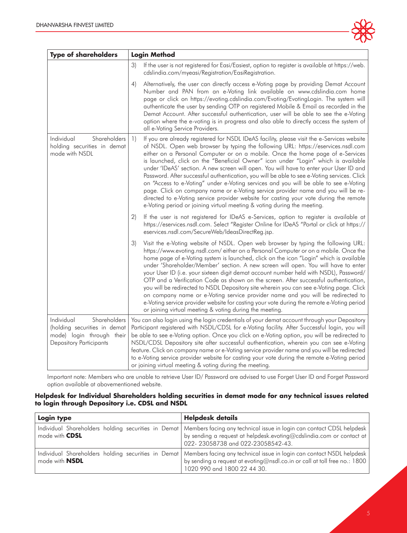

| <b>Type of shareholders</b>                                                                                               | <b>Login Method</b>                                                                                                                                                                                                                                                                                                                                                                                                                                                                                                                                                                                                                                                                                                                                                                                                                                                                                                   |  |  |
|---------------------------------------------------------------------------------------------------------------------------|-----------------------------------------------------------------------------------------------------------------------------------------------------------------------------------------------------------------------------------------------------------------------------------------------------------------------------------------------------------------------------------------------------------------------------------------------------------------------------------------------------------------------------------------------------------------------------------------------------------------------------------------------------------------------------------------------------------------------------------------------------------------------------------------------------------------------------------------------------------------------------------------------------------------------|--|--|
|                                                                                                                           | If the user is not registered for Easi/Easiest, option to register is available at https://web.<br>3)<br>cdslindia.com/myeasi/Registration/EasiRegistration.                                                                                                                                                                                                                                                                                                                                                                                                                                                                                                                                                                                                                                                                                                                                                          |  |  |
|                                                                                                                           | Alternatively, the user can directly access e-Voting page by providing Demat Account<br>4)<br>Number and PAN from an e-Voting link available on www.cdslindia.com home<br>page or click on https://evoting.cdslindia.com/Evoting/EvotingLogin. The system will<br>authenticate the user by sending OTP on registered Mobile & Email as recorded in the<br>Demat Account. After successful authentication, user will be able to see the e-Voting<br>option where the e-voting is in progress and also able to directly access the system of<br>all e-Voting Service Providers.                                                                                                                                                                                                                                                                                                                                         |  |  |
| Shareholders<br>Individual<br>holding securities in demat<br>mode with NSDL                                               | If you are already registered for NSDL IDeAS facility, please visit the e-Services website<br>$\left  \right $<br>of NSDL. Open web browser by typing the following URL: https://eservices.nsdl.com<br>either on a Personal Computer or on a mobile. Once the home page of e-Services<br>is launched, click on the "Beneficial Owner" icon under "Login" which is available<br>under 'IDeAS' section. A new screen will open. You will have to enter your User ID and<br>Password. After successful authentication, you will be able to see e-Voting services. Click<br>on "Access to e-Voting" under e-Voting services and you will be able to see e-Voting<br>page. Click on company name or e-Voting service provider name and you will be re-<br>directed to e-Voting service provider website for casting your vote during the remote<br>e-Voting period or joining virtual meeting & voting during the meeting. |  |  |
|                                                                                                                           | If the user is not registered for IDeAS e-Services, option to register is available at<br>$\left( 2\right)$<br>https://eservices.nsdl.com. Select "Register Online for IDeAS "Portal or click at https://<br>eservices.nsdl.com/SecureWeb/IdeasDirectReg.jsp.                                                                                                                                                                                                                                                                                                                                                                                                                                                                                                                                                                                                                                                         |  |  |
|                                                                                                                           | 3)<br>Visit the e-Voting website of NSDL. Open web browser by typing the following URL:<br>https://www.evoting.nsdl.com/either on a Personal Computer or on a mobile. Once the<br>home page of e-Voting system is launched, click on the icon "Login" which is available<br>under 'Shareholder/Member' section. A new screen will open. You will have to enter<br>your User ID (i.e. your sixteen digit demat account number held with NSDL), Password/<br>OTP and a Verification Code as shown on the screen. After successful authentication,<br>you will be redirected to NSDL Depository site wherein you can see e-Voting page. Click<br>on company name or e-Voting service provider name and you will be redirected to<br>e-Voting service provider website for casting your vote during the remote e-Voting period<br>or joining virtual meeting & voting during the meeting.                                 |  |  |
| Shareholders<br>Individual<br>(holding securities in demat<br>mode) login through their<br><b>Depository Participants</b> | You can also login using the login credentials of your demat account through your Depository<br>Participant registered with NSDL/CDSL for e-Voting facility. After Successful login, you will<br>be able to see e-Voting option. Once you click on e-Voting option, you will be redirected to<br>NSDL/CDSL Depository site after successful authentication, wherein you can see e-Voting<br>feature. Click on company name or e-Voting service provider name and you will be redirected<br>to e-Voting service provider website for casting your vote during the remote e-Voting period<br>or joining virtual meeting & voting during the meeting.                                                                                                                                                                                                                                                                    |  |  |

Important note: Members who are unable to retrieve User ID/ Password are advised to use Forget User ID and Forget Password option available at abovementioned website.

## **Helpdesk for Individual Shareholders holding securities in demat mode for any technical issues related to login through Depository i.e. CDSL and NSDL**

| Login type            | <b>Helpdesk details</b>                                                                                                                                                                                                                  |
|-----------------------|------------------------------------------------------------------------------------------------------------------------------------------------------------------------------------------------------------------------------------------|
| mode with <b>CDSL</b> | Individual Shareholders holding securities in Demat   Members facing any technical issue in login can contact CDSL helpdesk<br>by sending a request at helpdesk.evoting@cdslindia.com or contact at<br>022-23058738 and 022-23058542-43. |
| mode with <b>NSDL</b> | Individual Shareholders holding securities in Demat   Members facing any technical issue in login can contact NSDL helpdesk<br>by sending a request at evoting@nsdl.co.in or call at toll free no.: 1800<br>1020 990 and 1800 22 44 30.  |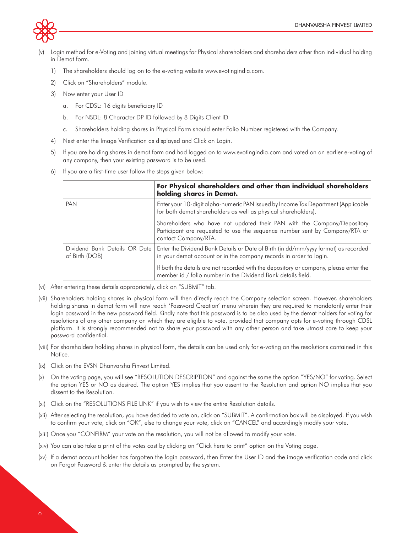

- Login method for e-Voting and joining virtual meetings for Physical shareholders and shareholders other than individual holding in Demat form.
	- 1) The shareholders should log on to the e-voting website www.evotingindia.com.
	- 2) Click on "Shareholders" module.
	- 3) Now enter your User ID
		- a. For CDSL: 16 digits beneficiary ID
		- b. For NSDL: 8 Character DP ID followed by 8 Digits Client ID
		- c. Shareholders holding shares in Physical Form should enter Folio Number registered with the Company.
	- 4) Next enter the Image Verification as displayed and Click on Login.
	- 5) If you are holding shares in demat form and had logged on to www.evotingindia.com and voted on an earlier e-voting of any company, then your existing password is to be used.
	- 6) If you are a first-time user follow the steps given below:

|                                                   | For Physical shareholders and other than individual shareholders<br>holding shares in Demat.                                                                                   |  |
|---------------------------------------------------|--------------------------------------------------------------------------------------------------------------------------------------------------------------------------------|--|
| PAN                                               | Enter your 10-digit alpha-numeric PAN issued by Income Tax Department (Applicable)<br>for both demat shareholders as well as physical shareholders).                           |  |
|                                                   | Shareholders who have not updated their PAN with the Company/Depository<br>Participant are requested to use the sequence number sent by Company/RTA or<br>contact Company/RTA. |  |
| Dividend Bank Details OR Date  <br>of Birth (DOB) | Enter the Dividend Bank Details or Date of Birth (in dd/mm/yyyy format) as recorded<br>in your demat account or in the company records in order to login.                      |  |
|                                                   | If both the details are not recorded with the depository or company, please enter the<br>member id / folio number in the Dividend Bank details field.                          |  |

- (vi) After entering these details appropriately, click on "SUBMIT" tab.
- (vii) Shareholders holding shares in physical form will then directly reach the Company selection screen. However, shareholders holding shares in demat form will now reach 'Password Creation' menu wherein they are required to mandatorily enter their login password in the new password field. Kindly note that this password is to be also used by the demat holders for voting for resolutions of any other company on which they are eligible to vote, provided that company opts for e-voting through CDSL platform. It is strongly recommended not to share your password with any other person and take utmost care to keep your password confidential.
- (viii) For shareholders holding shares in physical form, the details can be used only for e-voting on the resolutions contained in this Notice.
- (ix) Click on the EVSN Dhanvarsha Finvest Limited.
- (x) On the voting page, you will see "RESOLUTION DESCRIPTION" and against the same the option "YES/NO" for voting. Select the option YES or NO as desired. The option YES implies that you assent to the Resolution and option NO implies that you dissent to the Resolution.
- (xi) Click on the "RESOLUTIONS FILE LINK" if you wish to view the entire Resolution details.
- (xii) After selecting the resolution, you have decided to vote on, click on "SUBMIT". A confirmation box will be displayed. If you wish to confirm your vote, click on "OK", else to change your vote, click on "CANCEL" and accordingly modify your vote.
- (xiii) Once you "CONFIRM" your vote on the resolution, you will not be allowed to modify your vote.
- (xiv) You can also take a print of the votes cast by clicking on "Click here to print" option on the Voting page.
- (xv) If a demat account holder has forgotten the login password, then Enter the User ID and the image verification code and click on Forgot Password & enter the details as prompted by the system.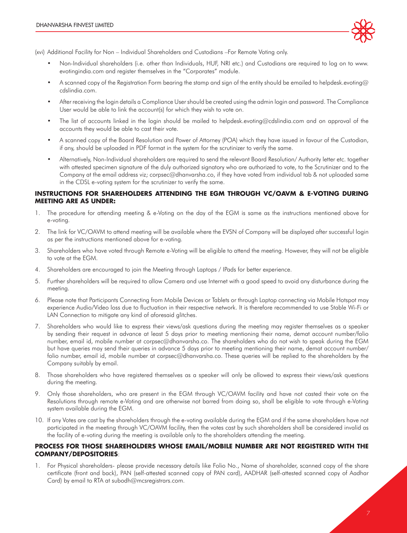

(xvi) Additional Facility for Non – Individual Shareholders and Custodians –For Remote Voting only.

- Non-Individual shareholders (i.e. other than Individuals, HUF, NRI etc.) and Custodians are required to log on to www. evotingindia.com and register themselves in the "Corporates" module.
- A scanned copy of the Registration Form bearing the stamp and sign of the entity should be emailed to helpdesk.evoting@ cdslindia.com.
- After receiving the login details a Compliance User should be created using the admin login and password. The Compliance User would be able to link the account(s) for which they wish to vote on.
- The list of accounts linked in the login should be mailed to helpdesk.evoting@cdslindia.com and on approval of the accounts they would be able to cast their vote.
- A scanned copy of the Board Resolution and Power of Attorney (POA) which they have issued in favour of the Custodian, if any, should be uploaded in PDF format in the system for the scrutinizer to verify the same.
- Alternatively, Non-Individual shareholders are required to send the relevant Board Resolution/ Authority letter etc. together with attested specimen signature of the duly authorized signatory who are authorized to vote, to the Scrutinizer and to the Company at the email address viz; corpsec@dhanvarsha.co, if they have voted from individual tab & not uploaded same in the CDSL e-voting system for the scrutinizer to verify the same.

#### **INSTRUCTIONS FOR SHAREHOLDERS ATTENDING THE EGM THROUGH VC/OAVM & E-VOTING DURING MEETING ARE AS UNDER:**

- 1. The procedure for attending meeting & e-Voting on the day of the EGM is same as the instructions mentioned above for e-voting.
- 2. The link for VC/OAVM to attend meeting will be available where the EVSN of Company will be displayed after successful login as per the instructions mentioned above for e-voting.
- 3. Shareholders who have voted through Remote e-Voting will be eligible to attend the meeting. However, they will not be eligible to vote at the EGM.
- 4. Shareholders are encouraged to join the Meeting through Laptops / IPads for better experience.
- 5. Further shareholders will be required to allow Camera and use Internet with a good speed to avoid any disturbance during the meeting.
- 6. Please note that Participants Connecting from Mobile Devices or Tablets or through Laptop connecting via Mobile Hotspot may experience Audio/Video loss due to fluctuation in their respective network. It is therefore recommended to use Stable Wi-Fi or LAN Connection to mitigate any kind of aforesaid glitches.
- 7. Shareholders who would like to express their views/ask questions during the meeting may register themselves as a speaker by sending their request in advance at least 5 days prior to meeting mentioning their name, demat account number/folio number, email id, mobile number at corpsec@dhanvarsha.co. The shareholders who do not wish to speak during the EGM but have queries may send their queries in advance 5 days prior to meeting mentioning their name, demat account number/ folio number, email id, mobile number at corpsec@dhanvarsha.co. These queries will be replied to the shareholders by the Company suitably by email.
- 8. Those shareholders who have registered themselves as a speaker will only be allowed to express their views/ask questions during the meeting.
- 9. Only those shareholders, who are present in the EGM through VC/OAVM facility and have not casted their vote on the Resolutions through remote e-Voting and are otherwise not barred from doing so, shall be eligible to vote through e-Voting system available during the EGM.
- 10. If any Votes are cast by the shareholders through the e-voting available during the EGM and if the same shareholders have not participated in the meeting through VC/OAVM facility, then the votes cast by such shareholders shall be considered invalid as the facility of e-voting during the meeting is available only to the shareholders attending the meeting.

#### **PROCESS FOR THOSE SHAREHOLDERS WHOSE EMAIL/MOBILE NUMBER ARE NOT REGISTERED WITH THE COMPANY/DEPOSITORIES**:

1. For Physical shareholders- please provide necessary details like Folio No., Name of shareholder, scanned copy of the share certificate (front and back), PAN (self-attested scanned copy of PAN card), AADHAR (self-attested scanned copy of Aadhar Card) by email to RTA at subodh@mcsregistrars.com.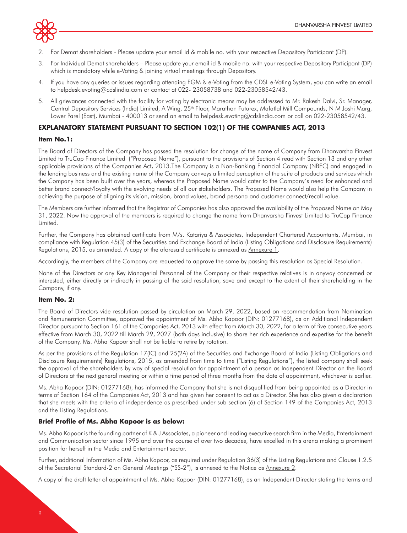

- 2. For Demat shareholders Please update your email id & mobile no. with your respective Depository Participant (DP).
- 3. For Individual Demat shareholders Please update your email id & mobile no. with your respective Depository Participant (DP) which is mandatory while e-Voting & joining virtual meetings through Depository.
- 4. If you have any queries or issues regarding attending EGM & e-Voting from the CDSL e-Voting System, you can write an email to helpdesk.evoting@cdslindia.com or contact at 022- 23058738 and 022-23058542/43.
- 5. All grievances connected with the facility for voting by electronic means may be addressed to Mr. Rakesh Dalvi, Sr. Manager, Central Depository Services (India) Limited, A Wing, 25<sup>th</sup> Floor, Marathon Futurex, Mafatlal Mill Compounds, N M Joshi Marg, Lower Parel (East), Mumbai - 400013 or send an email to helpdesk.evoting@cdslindia.com or call on 022-23058542/43.

## **EXPLANATORY STATEMENT PURSUANT TO SECTION 102(1) OF THE COMPANIES ACT, 2013**

#### **Item No.1:**

The Board of Directors of the Company has passed the resolution for change of the name of Company from Dhanvarsha Finvest Limited to TruCap Finance Limited ("Proposed Name"), pursuant to the provisions of Section 4 read with Section 13 and any other applicable provisions of the Companies Act, 2013.The Company is a Non-Banking Financial Company (NBFC) and engaged in the lending business and the existing name of the Company conveys a limited perception of the suite of products and services which the Company has been built over the years, whereas the Proposed Name would cater to the Company's need for enhanced and better brand connect/loyalty with the evolving needs of all our stakeholders. The Proposed Name would also help the Company in achieving the purpose of aligning its vision, mission, brand values, brand persona and customer connect/recall value.

The Members are further informed that the Registrar of Companies has also approved the availability of the Proposed Name on May 31, 2022. Now the approval of the members is required to change the name from Dhanvarsha Finvest Limited to TruCap Finance Limited.

Further, the Company has obtained certificate from M/s. Katariya & Associates, Independent Chartered Accountants, Mumbai, in compliance with Regulation 45(3) of the Securities and Exchange Board of India (Listing Obligations and Disclosure Requirements) Regulations, 2015, as amended. A copy of the aforesaid certificate is annexed as Annexure 1.

Accordingly, the members of the Company are requested to approve the same by passing this resolution as Special Resolution.

None of the Directors or any Key Managerial Personnel of the Company or their respective relatives is in anyway concerned or interested, either directly or indirectly in passing of the said resolution, save and except to the extent of their shareholding in the Company, if any.

#### **Item No. 2:**

The Board of Directors vide resolution passed by circulation on March 29, 2022, based on recommendation from Nomination and Remuneration Committee, approved the appointment of Ms. Abha Kapoor (DIN: 01277168), as an Additional Independent Director pursuant to Section 161 of the Companies Act, 2013 with effect from March 30, 2022, for a term of five consecutive years effective from March 30, 2022 till March 29, 2027 (both days inclusive) to share her rich experience and expertise for the benefit of the Company. Ms. Abha Kapoor shall not be liable to retire by rotation.

As per the provisions of the Regulation 17(IC) and 25(2A) of the Securities and Exchange Board of India (Listing Obligations and Disclosure Requirements) Regulations, 2015, as amended from time to time ("Listing Regulations"), the listed company shall seek the approval of the shareholders by way of special resolution for appointment of a person as Independent Director on the Board of Directors at the next general meeting or within a time period of three months from the date of appointment, whichever is earlier.

Ms. Abha Kapoor (DIN: 01277168), has informed the Company that she is not disqualified from being appointed as a Director in terms of Section 164 of the Companies Act, 2013 and has given her consent to act as a Director. She has also given a declaration that she meets with the criteria of independence as prescribed under sub section (6) of Section 149 of the Companies Act, 2013 and the Listing Regulations.

#### **Brief Profile of Ms. Abha Kapoor is as below:**

Ms. Abha Kapoor is the founding partner of K & J Associates, a pioneer and leading executive search firm in the Media, Entertainment and Communication sector since 1995 and over the course of over two decades, have excelled in this arena making a prominent position for herself in the Media and Entertainment sector.

Further, additional Information of Ms. Abha Kapoor, as required under Regulation 36(3) of the Listing Regulations and Clause 1.2.5 of the Secretarial Standard-2 on General Meetings ("SS-2"), is annexed to the Notice as Annexure 2.

A copy of the draft letter of appointment of Ms. Abha Kapoor (DIN: 01277168), as an Independent Director stating the terms and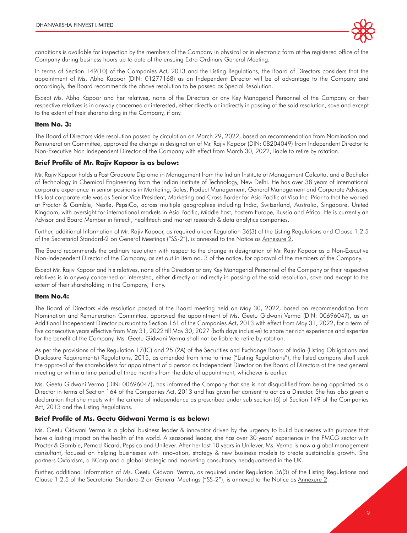

conditions is available for inspection by the members of the Company in physical or in electronic form at the registered office of the Company during business hours up to date of the ensuing Extra Ordinary General Meeting.

In terms of Section 149(10) of the Companies Act, 2013 and the Listing Regulations, the Board of Directors considers that the appointment of Ms. Abha Kapoor (DIN: 01277168) as an Independent Director will be of advantage to the Company and accordingly, the Board recommends the above resolution to be passed as Special Resolution.

Except Ms. Abha Kapoor and her relatives, none of the Directors or any Key Managerial Personnel of the Company or their respective relatives is in anyway concerned or interested, either directly or indirectly in passing of the said resolution, save and except to the extent of their shareholding in the Company, if any.

#### **Item No. 3:**

The Board of Directors vide resolution passed by circulation on March 29, 2022, based on recommendation from Nomination and Remuneration Committee, approved the change in designation of Mr. Rajiv Kapoor (DIN: 08204049) from Independent Director to Non-Executive Non Independent Director of the Company with effect from March 30, 2022, liable to retire by rotation.

#### **Brief Profile of Mr. Rajiv Kapoor is as below:**

Mr. Rajiv Kapoor holds a Post Graduate Diploma in Management from the Indian Institute of Management Calcutta, and a Bachelor of Technology in Chemical Engineering from the Indian Institute of Technology, New Delhi. He has over 38 years of international corporate experience in senior positions in Marketing, Sales, Product Management, General Management and Corporate Advisory. His last corporate role was as Senior Vice President, Marketing and Cross Border for Asia Pacific at Visa Inc. Prior to that he worked at Proctor & Gamble, Nestle, PepsiCo, across multiple geographies including India, Switzerland, Australia, Singapore, United Kingdom, with oversight for international markets in Asia Pacific, Middle East, Eastern Europe, Russia and Africa. He is currently an Advisor and Board Member in fintech, healthtech and market research & data analytics companies.

Further, additional Information of Mr. Rajiv Kapoor, as required under Regulation 36(3) of the Listing Regulations and Clause 1.2.5 of the Secretarial Standard-2 on General Meetings ("SS-2"), is annexed to the Notice as Annexure 2.

The Board recommends the ordinary resolution with respect to the change in designation of Mr. Rajiv Kapoor as a Non-Executive Non-Independent Director of the Company, as set out in item no. 3 of the notice, for approval of the members of the Company.

Except Mr. Rajiv Kapoor and his relatives, none of the Directors or any Key Managerial Personnel of the Company or their respective relatives is in anyway concerned or interested, either directly or indirectly in passing of the said resolution, save and except to the extent of their shareholding in the Company, if any.

#### **Item No.4:**

The Board of Directors vide resolution passed at the Board meeting held on May 30, 2022, based on recommendation from Nomination and Remuneration Committee, approved the appointment of Ms. Geetu Gidwani Verma (DIN: 00696047), as an Additional Independent Director pursuant to Section 161 of the Companies Act, 2013 with effect from May 31, 2022, for a term of five consecutive years effective from May 31, 2022 till May 30, 2027 (both days inclusive) to share her rich experience and expertise for the benefit of the Company. Ms. Geetu Gidwani Verma shall not be liable to retire by rotation.

As per the provisions of the Regulation 17(IC) and 25 (2A) of the Securities and Exchange Board of India (Listing Obligations and Disclosure Requirements) Regulations, 2015, as amended from time to time ("Listing Regulations"), the listed company shall seek the approval of the shareholders for appointment of a person as Independent Director on the Board of Directors at the next general meeting or within a time period of three months from the date of appointment, whichever is earlier.

Ms. Geetu Gidwani Verma (DIN: 00696047), has informed the Company that she is not disqualified from being appointed as a Director in terms of Section 164 of the Companies Act, 2013 and has given her consent to act as a Director. She has also given a declaration that she meets with the criteria of independence as prescribed under sub section (6) of Section 149 of the Companies Act, 2013 and the Listing Regulations.

#### **Brief Profile of Ms. Geetu Gidwani Verma is as below:**

Ms. Geetu Gidwani Verma is a global business leader & innovator driven by the urgency to build businesses with purpose that have a lasting impact on the health of the world. A seasoned leader, she has over 30 years' experience in the FMCG sector with Procter & Gamble, Pernod Ricard, Pepsico and Unilever. After her last 10 years in Unilever, Ms. Verma is now a global management consultant, focused on helping businesses with innovation, strategy & new business models to create sustainable growth. She partners Oxfordsm, a BCorp and a global strategic and marketing consultancy headquartered in the UK.

Further, additional Information of Ms. Geetu Gidwani Verma, as required under Regulation 36(3) of the Listing Regulations and Clause 1.2.5 of the Secretarial Standard-2 on General Meetings ("SS-2"), is annexed to the Notice as Annexure 2.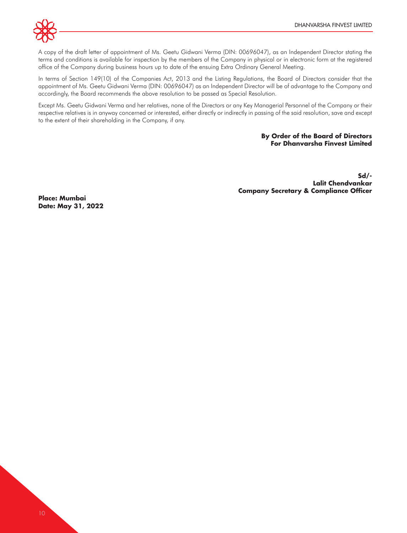

A copy of the draft letter of appointment of Ms. Geetu Gidwani Verma (DIN: 00696047), as an Independent Director stating the terms and conditions is available for inspection by the members of the Company in physical or in electronic form at the registered office of the Company during business hours up to date of the ensuing Extra Ordinary General Meeting.

In terms of Section 149(10) of the Companies Act, 2013 and the Listing Regulations, the Board of Directors consider that the appointment of Ms. Geetu Gidwani Verma (DIN: 00696047) as an Independent Director will be of advantage to the Company and accordingly, the Board recommends the above resolution to be passed as Special Resolution.

Except Ms. Geetu Gidwani Verma and her relatives, none of the Directors or any Key Managerial Personnel of the Company or their respective relatives is in anyway concerned or interested, either directly or indirectly in passing of the said resolution, save and except to the extent of their shareholding in the Company, if any.

## **By Order of the Board of Directors For Dhanvarsha Finvest Limited**

**Sd/- Lalit Chendvankar Company Secretary & Compliance Officer**

**Place: Mumbai Date: May 31, 2022**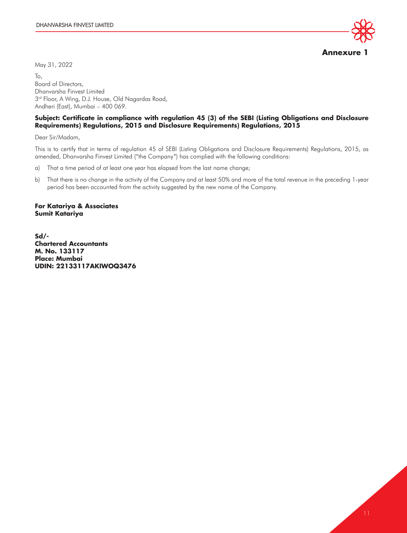May 31, 2022

**Annexure 1**

To, Board of Directors, Dhanvarsha Finvest Limited  $3<sup>rd</sup>$  Floor, A Wing, D.J. House, Old Nagardas Road, Andheri (East), Mumbai – 400 069.

## **Subject: Certificate in compliance with regulation 45 (3) of the SEBI (Listing Obligations and Disclosure Requirements) Regulations, 2015 and Disclosure Requirements) Regulations, 2015**

Dear Sir/Madam,

This is to certify that in terms of regulation 45 of SEBI (Listing Obligations and Disclosure Requirements) Regulations, 2015, as amended, Dhanvarsha Finvest Limited ("the Company") has complied with the following conditions:

- a) That a time period of at least one year has elapsed from the last name change;
- b) That there is no change in the activity of the Company and at least 50% and more of the total revenue in the preceding 1-year period has been accounted from the activity suggested by the new name of the Company.

#### **For Katariya & Associates Sumit Katariya**

**Sd/- Chartered Accountants M. No. 133117 Place: Mumbai UDIN: 22133117AKIWOQ3476**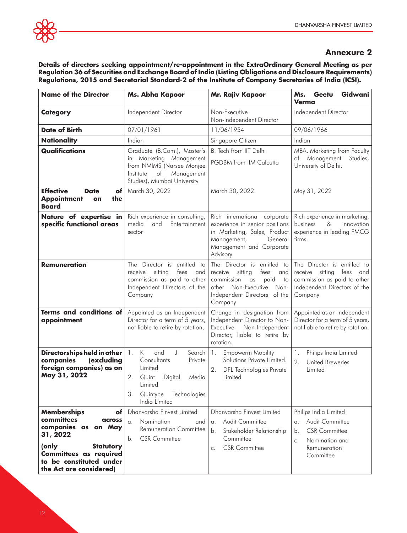# **Annexure 2**

**Details of directors seeking appointment/re-appointment in the ExtraOrdinary General Meeting as per Regulation 36 of Securities and Exchange Board of India (Listing Obligations and Disclosure Requirements) Regulations, 2015 and Secretarial Standard-2 of the Institute of Company Secretaries of India (ICSI).** 

| <b>Name of the Director</b>                                                                        | Ms. Abha Kapoor                                                                                                                                                     | Mr. Rajiv Kapoor                                                                                                                                                                     | Gidwani<br>Ms.<br>Geetu<br><b>Verma</b>                                                                                                 |
|----------------------------------------------------------------------------------------------------|---------------------------------------------------------------------------------------------------------------------------------------------------------------------|--------------------------------------------------------------------------------------------------------------------------------------------------------------------------------------|-----------------------------------------------------------------------------------------------------------------------------------------|
| <b>Category</b>                                                                                    | Independent Director                                                                                                                                                | Non-Executive<br>Non-Independent Director                                                                                                                                            | Independent Director                                                                                                                    |
| <b>Date of Birth</b>                                                                               | 07/01/1961                                                                                                                                                          | 11/06/1954                                                                                                                                                                           | 09/06/1966                                                                                                                              |
| <b>Nationality</b>                                                                                 | Indian                                                                                                                                                              | Singapore Citizen                                                                                                                                                                    | Indian                                                                                                                                  |
| Qualifications                                                                                     | Graduate (B.Com.), Master's                                                                                                                                         | B. Tech from IIT Delhi                                                                                                                                                               | MBA, Marketing from Faculty                                                                                                             |
|                                                                                                    | in Marketing Management<br>from NMIMS (Narsee Monjee<br>of<br>Management<br>Institute<br>Studies), Mumbai University                                                | PGDBM from IIM Calcutta                                                                                                                                                              | of Management<br>Studies,<br>University of Delhi.                                                                                       |
| <b>Effective</b><br><b>Date</b><br>of<br><b>Appointment</b><br>the<br>on<br><b>Board</b>           | March 30, 2022                                                                                                                                                      | March 30, 2022                                                                                                                                                                       | May 31, 2022                                                                                                                            |
| Nature of expertise in<br>specific functional areas                                                | Rich experience in consulting,<br>media<br>and<br>Entertainment<br>sector                                                                                           | Rich international corporate<br>experience in senior positions<br>in Marketing, Sales, Product<br>Management,<br>General<br>Management and Corporate<br>Advisory                     | Rich experience in marketing,<br>business<br>$\&$<br>innovation<br>experience in leading FMCG<br>firms.                                 |
| <b>Remuneration</b>                                                                                | The Director is entitled to<br>sitting<br>fees<br>receive<br>and<br>commission as paid to other<br>Independent Directors of the<br>Company                          | The Director is entitled to<br>fees<br>receive<br>sitting<br>and<br>commission<br>$\alpha s$<br>paid<br>to<br>other Non-Executive<br>Non-<br>Independent Directors of the<br>Company | The Director is entitled to<br>receive sitting<br>fees<br>and<br>commission as paid to other<br>Independent Directors of the<br>Company |
| Terms and conditions of<br>appointment                                                             | Appointed as an Independent<br>Director for a term of 5 years,<br>not liable to retire by rotation,                                                                 | Change in designation from<br>Independent Director to Non-<br>Executive<br>Non-Independent<br>Director, liable to retire by<br>rotation.                                             | Appointed as an Independent<br>Director for a term of 5 years,<br>not liable to retire by rotation.                                     |
| Directorships held in other<br>companies<br>(excluding<br>foreign companies) as on<br>May 31, 2022 | K<br>and<br>Search<br>1.<br>J<br>Consultants<br>Private<br>Limited<br>2.<br>Quint<br>Digital<br>Media<br>Limited<br>3.<br>Technologies<br>Quintype<br>India Limited | <b>Empowerm Mobility</b><br>1.<br>Solutions Private Limited.<br>2.<br><b>DFL</b> Technologies Private<br>Limited                                                                     | Philips India Limited<br>1.<br>2.<br><b>United Breweries</b><br>Limited                                                                 |
| <b>Memberships</b><br>оf                                                                           | Dhanvarsha Finvest Limited                                                                                                                                          | Dhanvarsha Finvest Limited                                                                                                                                                           | Philips India Limited                                                                                                                   |
| committees<br>across<br>companies as                                                               | Nomination<br>$\alpha$ .<br>and                                                                                                                                     | <b>Audit Committee</b><br>$\alpha$ .                                                                                                                                                 | Audit Committee<br>$\alpha$ .                                                                                                           |
| on May<br>31, 2022                                                                                 | <b>Remuneration Committee</b>                                                                                                                                       | Stakeholder Relationship<br>$\mathbf{b}$ .                                                                                                                                           | <b>CSR Committee</b><br>b.                                                                                                              |
| (only<br><b>Statutory</b>                                                                          | <b>CSR Committee</b><br>b.                                                                                                                                          | Committee<br><b>CSR</b> Committee                                                                                                                                                    | Nomination and<br>$C_{\star}$<br>Remuneration                                                                                           |
| Committees as required<br>to be constituted under<br>the Act are considered)                       |                                                                                                                                                                     | $C_{\star}$                                                                                                                                                                          | Committee                                                                                                                               |